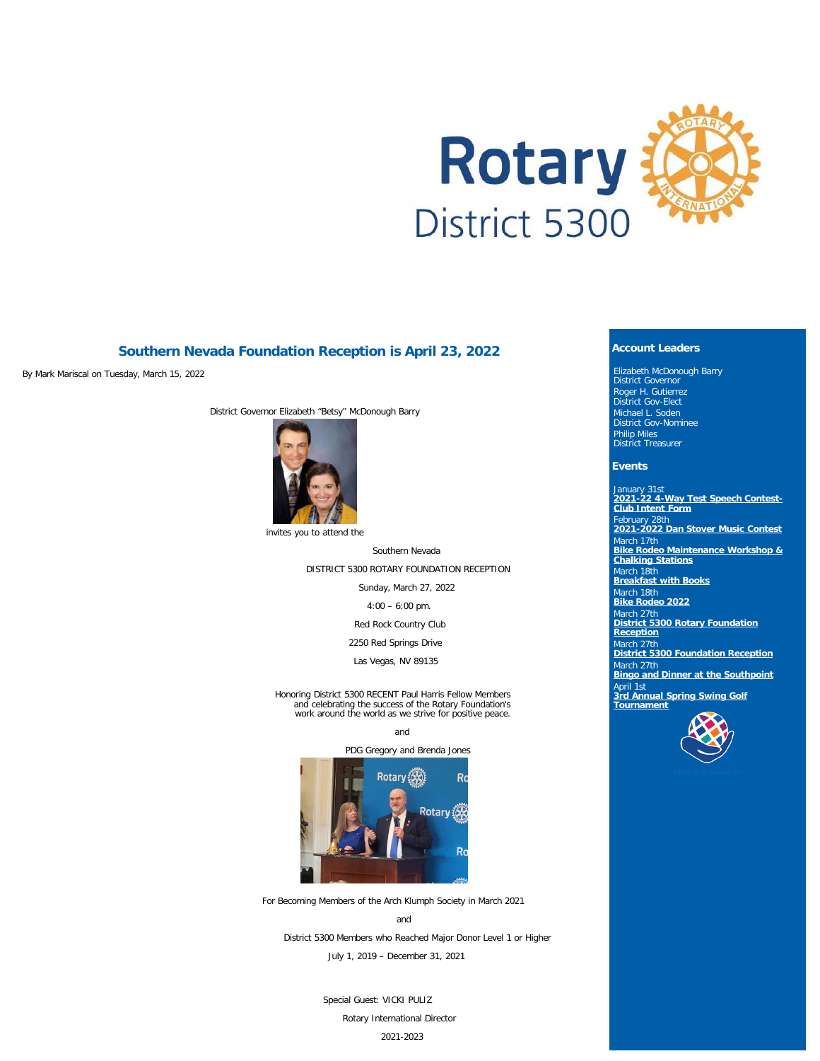

## **Southern Nevada Foundation Reception is April 23, 2022**

By Mark Mariscal on Tuesday, March 15, 2022

District Governor Elizabeth "Betsy" McDonough Barry



invites you to attend the

Southern Nevada DISTRICT 5300 ROTARY FOUNDATION RECEPTION

Sunday, March 27, 2022

4:00 – 6:00 pm.

Red Rock Country Club

2250 Red Springs Drive

Las Vegas, NV 89135

Honoring District 5300 RECENT Paul Harris Fellow Members and celebrating the success of the Rotary Foundation's work around the world as we strive for positive peace.

and





For Becoming Members of the Arch Klumph Society in March 2021

and District 5300 Members who Reached Major Donor Level 1 or Higher July 1, 2019 – December 31, 2021

> Special Guest: VICKI PULIZ Rotary International Director 2021-2023

### **Account Leaders**

Elizabeth McDonough Barry District Governor Roger H. Gutierrez District Gov-Elect Michael L. Soden District Gov-Nominee Philip Miles District Treasurer

#### **Events**

January 31st **[2021-22 4-Way Test Speech Contest-](https://ismyrotaryclub.com/wp_api_prod_1-1/R_Event.cfm?fixTables=0&fixImages=0&EventID=77552820)[Club Intent Form](https://ismyrotaryclub.com/wp_api_prod_1-1/R_Event.cfm?fixTables=0&fixImages=0&EventID=77552820)** February 28th **[2021-2022 Dan Stover Music Contest](https://ismyrotaryclub.com/wp_api_prod_1-1/R_Event.cfm?fixTables=0&fixImages=0&EventID=77569936)** March 17th **[Bike Rodeo Maintenance Workshop &](https://ismyrotaryclub.com/wp_api_prod_1-1/R_Event.cfm?fixTables=0&fixImages=0&EventID=77583013) [Chalking Stations](https://ismyrotaryclub.com/wp_api_prod_1-1/R_Event.cfm?fixTables=0&fixImages=0&EventID=77583013)** March 18th **[Breakfast with Books](https://ismyrotaryclub.com/wp_api_prod_1-1/R_Event.cfm?fixTables=0&fixImages=0&EventID=77568684)** March 18th **[Bike Rodeo 2022](https://ismyrotaryclub.com/wp_api_prod_1-1/R_Event.cfm?fixTables=0&fixImages=0&EventID=77578848)** March 27th **[District 5300 Rotary Foundation](https://ismyrotaryclub.com/wp_api_prod_1-1/R_Event.cfm?fixTables=0&fixImages=0&EventID=77583316) [Reception](https://ismyrotaryclub.com/wp_api_prod_1-1/R_Event.cfm?fixTables=0&fixImages=0&EventID=77583316)** March 27th **[District 5300 Foundation Reception](https://ismyrotaryclub.com/wp_api_prod_1-1/R_Event.cfm?fixTables=0&fixImages=0&EventID=77573516)** larch 27th **[Bingo and Dinner at the Southpoint](https://ismyrotaryclub.com/wp_api_prod_1-1/R_Event.cfm?fixTables=0&fixImages=0&EventID=77577864)** April 1st **[3rd Annual Spring Swing Golf](https://ismyrotaryclub.com/wp_api_prod_1-1/R_Event.cfm?fixTables=0&fixImages=0&EventID=77568687) [Tournament](https://ismyrotaryclub.com/wp_api_prod_1-1/R_Event.cfm?fixTables=0&fixImages=0&EventID=77568687)**

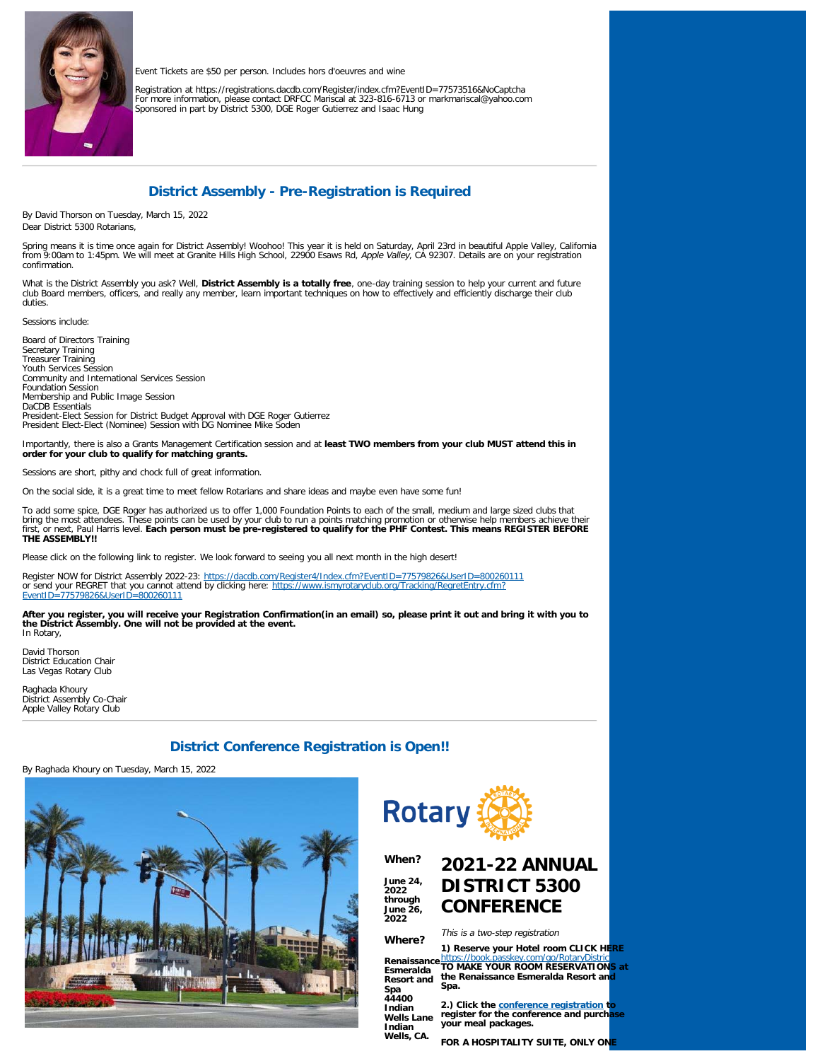

Event Tickets are \$50 per person. Includes hors d'oeuvres and wine

Registration at https://registrations.dacdb.com/Register/index.cfm?EventID=77573516&NoCaptcha<br>For more information, please contact DRFCC Mariscal at 323-816-6713 or markmariscal@yahoo.com<br>Sponsored in part by District 5300

# **District Assembly - Pre-Registration is Required**

By David Thorson on Tuesday, March 15, 2022 Dear District 5300 Rotarians,

Spring means it is time once again for District Assembly! Woohoo! This year it is held on Saturday, April 23rd in beautiful Apple Valley, California<br>from 9:00am to 1:45pm. We will meet at Granite Hills High School, 22900 E confirmation.

What is the District Assembly you ask? Well, **District Assembly is a totally free**, one-day training session to help your current and future<br>club Board members, officers, and really any member, learn important techniques o duties.

Sessions include:

Board of Directors Training Secretary Training Treasurer Training Youth Services Session Community and International Services Session Foundation Session Membership and Public Image Session DaCDB Essentials President-Elect Session for District Budget Approval with DGE Roger Gutierrez President Elect-Elect (Nominee) Session with DG Nominee Mike Soden

Importantly, there is also a Grants Management Certification session and at **least TWO members from your club MUST attend this in order for your club to qualify for matching grants.**

Sessions are short, pithy and chock full of great information.

On the social side, it is a great time to meet fellow Rotarians and share ideas and maybe even have some fun!

To add some spice, DGE Roger has authorized us to offer 1,000 Foundation Points to each of the small, medium and large sized clubs that bring the most attendees. These points can be used by your club to run a points matching promotion or otherwise help members achieve their<br>first, or next, Paul Harris level. **Each person must be pre-registered to qualify f THE ASSEMBLY!!**

Please click on the following link to register. We look forward to seeing you all next month in the high desert!

Register NOW for District Assembly 2022-23:<https://dacdb.com/Register4/Index.cfm?EventID=77579826&UserID=800260111> or send your REGRET that you cannot attend by clicking here: [https://www.ismyrotaryclub.org/Tracking/RegretEntry.cfm?](https://www.ismyrotaryclub.org/Tracking/RegretEntry.cfm?EventID=77579826&UserID=800260111) [EventID=77579826&UserID=800260111](https://www.ismyrotaryclub.org/Tracking/RegretEntry.cfm?EventID=77579826&UserID=800260111)

**After you register, you will receive your Registration Confirmation(in an email) so, please print it out and bring it with you to the District Assembly. One will not be provided at the event.** In Rotary,

David Thorson District Education Chair Las Vegas Rotary Club

Raghada Khoury District Assembly Co-Chair Apple Valley Rotary Club

# **District Conference Registration is Open!!**

By Raghada Khoury on Tuesday, March 15, 2022





**2022**

**2022**

**Spa 44400 Indian**

**Indian**

#### **When? June 24, through June 26, 2021-22 ANNUAL DISTRICT 5300 CONFERENCE**

**Where?** This is a two-step registration

**Renaissance Esmeralda Resort and 1) Reserve your Hotel room CLICK HERE** https://book.passkey.com/go/RotaryDistric<br>TO MAKE YOUR ROOM RESERVATIONS at **the Renaissance Esmeralda Resort and Spa.**

**Wells Lane 2.) Click the [conference registration](https://www.dacdb.com/Register4/Index.cfm?EventID=77574804&UserID=800349749) to register for the conference and purchase your meal packages.**

**Wells, CA. FOR A HOSPITALITY SUITE, ONLY ONE**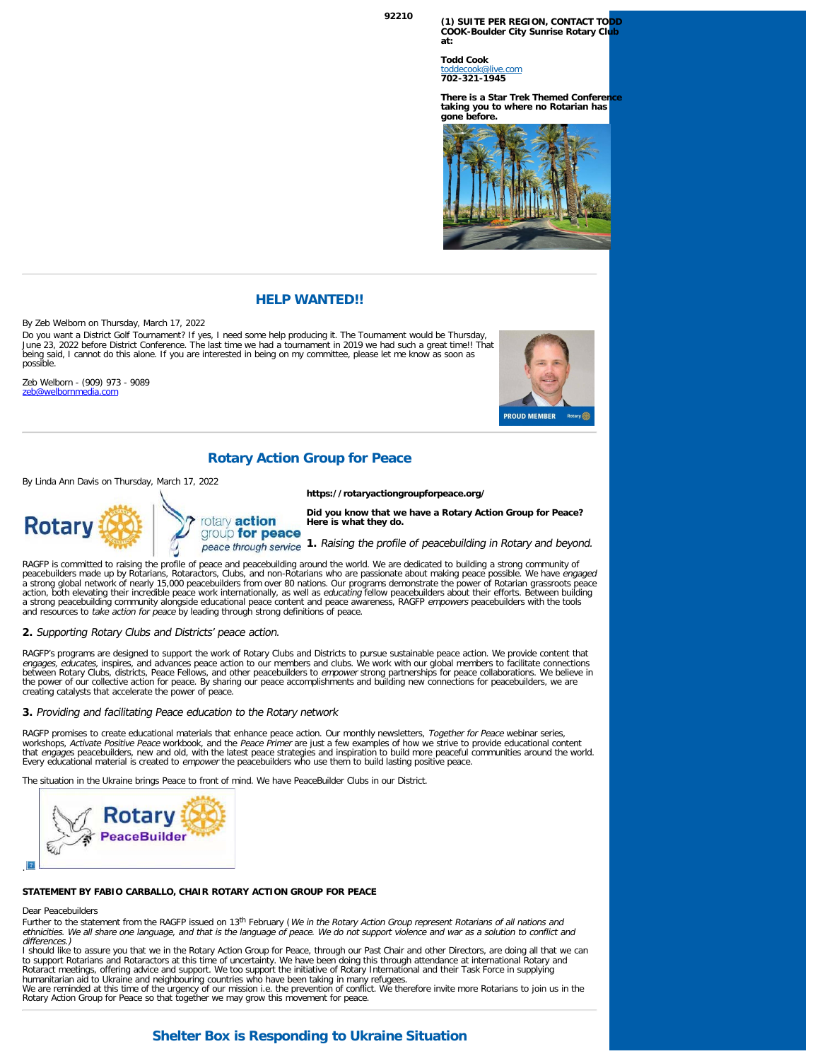**<sup>92210</sup> (1) SUITE PER REGION, CONTACT TODD COOK-Boulder City Sunrise Rotary Club at:**

> **Todd Cook** [toddecook@live.com](mailto:toddecook@live.com) **702-321-1945**

**There is a Star Trek Themed Conferer taking you to where no Rotarian has gone before.**



### **HELP WANTED!!**

By Zeb Welborn on Thursday, March 17, 2022

Do you want a District Golf Tournament? If yes, I need some help producing it. The Tournament would be Thursday,<br>June 23, 2022 before District Conference. The last time we had a tournament in 2019 we had such a great time! being said, I cannot do this alone. If you are interested in being on my committee, please let me know as soon as possible.

Zeb Welborn - (909) 973 - 9089 [zeb@welbornmedia.com](mailto:zeb@welbornmedia.com)



## **Rotary Action Group for Peace**

By Linda Ann Davis on Thursday, March 17, 2022



**https://rotaryactiongroupforpeace.org/**

**Did you know that we have a Rotary Action Group for Peace? Here is what they do.**

group for peace peace through service 1. Raising the profile of peacebuilding in Rotary and beyond.

RAGFP is committed to raising the profile of peace and peacebuilding around the world. We are dedicated to building a strong community of<br>peacebuilders made up by Rotarians, Rotaractors, Clubs, and non-Rotarians who are pa a strong global network of nearly 15,000 peacebuilders from over 80 nations. Our programs demonstrate the power of Rotarian grassroots peace action, both elevating their incredible peace work internationally, as well as *educating* fellow peacebuilders about their efforts. Between building<br>a strong peacebuilding community alongside educational peace content and and resources to take action for peace by leading through strong definitions of peace.

**2.** Supporting Rotary Clubs and Districts' peace action.

RAGFP's programs are designed to support the work of Rotary Clubs and Districts to pursue sustainable peace action. We provide content that<br>*engages, educates,* inspires, and advances peace action to our members and clubs. between Rotary Clubs, districts, Peace Fellows, and other peacebuilders to *empower* strong partnerships for peace collaborations. We believe in<br>the power of our collective action for peace. By sharing our peace accomplish creating catalysts that accelerate the power of peace.

#### **3.** Providing and facilitating Peace education to the Rotary network

RAGFP promises to create educational materials that enhance peace action. Our monthly newsletters, Together for Peace webinar series, workshops, *Activate Positive Peace* workbook, and the *Peace Primer* are just a few examples of how we strive to provide educational content<br>that *engage*s peacebuilders, new and old, with the latest peace strategies and Every educational material is created to empower the peacebuilders who use them to build lasting positive peace.

The situation in the Ukraine brings Peace to front of mind. We have PeaceBuilder Clubs in our District.



#### **STATEMENT BY FABIO CARBALLO, CHAIR ROTARY ACTION GROUP FOR PEACE**

Dear Peacebuilders

Further to the statement from the RAGFP issued on 13<sup>th</sup> February (We in the Rotary Action Group represent Rotarians of all nations and ethnicities. We all share one language, and that is the language of peace. We do not support violence and war as a solution to conflict and differences.)

I should like to assure you that we in the Rotary Action Group for Peace, through our Past Chair and other Directors, are doing all that we can<br>to support Rotarians and Rotaractors at this time of uncertainty. We have been humanitarian aid to Ukraine and neighbouring countries who have been taking in many refugees.

We are reminded at this time of the urgency of our mission i.e. the prevention of conflict. We therefore invite more Rotarians to join us in the Rotary Action Group for Peace so that together we may grow this movement for peace.

## **Shelter Box is Responding to Ukraine Situation**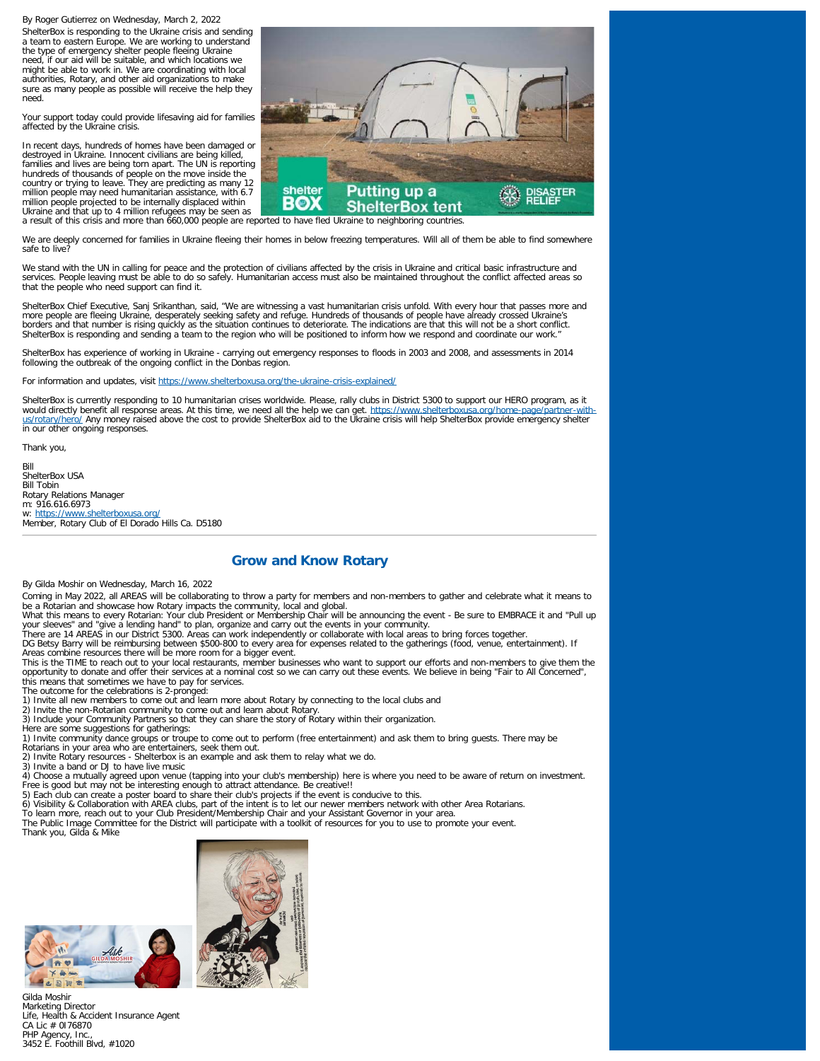By Roger Gutierrez on Wednesday, March 2, 2022

ShelterBox is responding to the Ukraine crisis and sending a team to eastern Europe. We are working to understand the type of emergency shelter people fleeing Ukraine need, if our aid will be suitable, and which locations we might be able to work in. We are coordinating with local authorities, Rotary, and other aid organizations to make sure as many people as possible will receive the help they need.

Your support today could provide lifesaving aid for families affected by the Ukraine crisis.

In recent days, hundreds of homes have been damaged or destroyed in Ukraine. Innocent civilians are being killed, families and lives are being torn apart. The UN is reporting hundreds of thousands of people on the move inside the country or trying to leave. They are predicting as many 12 million people may need humanitarian assistance, with 6.7 million people projected to be internally displaced within



Ukraine and that up to 4 million refugees may be seen as **the contract of the contract DOA term**<br>a result of this crisis and more than 660,000 people are reported to have fled Ukraine to neighboring countries.

We are deeply concerned for families in Ukraine fleeing their homes in below freezing temperatures. Will all of them be able to find somewhere safe to live?

We stand with the UN in calling for peace and the protection of civilians affected by the crisis in Ukraine and critical basic infrastructure and services. People leaving must be able to do so safely. Humanitarian access must also be maintained throughout the conflict affected areas so that the people who need support can find it.

ShelterBox Chief Executive, Sanj Srikanthan, said, "We are witnessing a vast humanitarian crisis unfold. With every hour that passes more and<br>more people are fleeing Ukraine, desperately seeking safety and refuge. Hundreds borders and that number is rising quickly as the situation continues to deteriorate. The indications are that this will not be a short conflict. ShelterBox is responding and sending a team to the region who will be positioned to inform how we respond and coordinate our work."

ShelterBox has experience of working in Ukraine - carrying out emergency responses to floods in 2003 and 2008, and assessments in 2014 following the outbreak of the ongoing conflict in the Donbas region.

For information and updates, visit https://www.shelterboxusa.org/the-ukraine-crisis

ShelterBox is currently responding to 10 humanitarian crises worldwide. Please, rally clubs in District 5300 to support our HERO program, as it would directly benefit all response areas. At this time, we need all the help we can get. [https://www.shelterboxusa.org/home-page/partner-with](https://www.shelterboxusa.org/home-page/partner-with-us/rotary/hero/)u<u>s/rotary/hero/</u> Any money raised above the cost to provide ShelterBox aid to the Ukraine crisis will help ShelterBox provide emergency shelter<br>in our other ongoing responses.

Thank you,

Bill ShelterBox USA Bill Tobin Rotary Relations Manager m: 916.616.6973 w:<https://www.shelterboxusa.org/> Member, Rotary Club of El Dorado Hills Ca. D5180

# **Grow and Know Rotary**

By Gilda Moshir on Wednesday, March 16, 2022

Coming in May 2022, all AREAS will be collaborating to throw a party for members and non-members to gather and celebrate what it means to<br>be a Rotarian and showcase how Rotary impacts the community, local and global.

What this means to every Rotarian: Your club President or Membership Chair will be announcing the event - Be sure to EMBRACE it and "Pull up your sleeves" and "give a lending hand" to plan, organize and carry out the events in your community.

There are 14 AREAS in our District 5300. Areas can work independently or collaborate with local areas to bring forces together.<br>DG Betsy Barry will be reimbursing between \$500-800 to every area for expenses related to the this means that sometimes we have to pay for services. The outcome for the celebrations is 2-pronged:

1) Invite all new members to come out and learn more about Rotary by connecting to the local clubs and

2) Invite the non-Rotarian community to come out and learn about Rotary. 3) Include your Community Partners so that they can share the story of Rotary within their organization.

Here are some suggestions for gatherings:

1) Invite community dance groups or troupe to come out to perform (free entertainment) and ask them to bring guests. There may be Rotarians in your area who are entertainers, seek them out.

2) Invite Rotary resources - Shelterbox is an example and ask them to relay what we do.

3) Invite a band or DJ to have live music<br>4) Choose a mutually agreed upon venue (tapping into your club's membership) here is where you need to be aware of return on investment.<br>Free is good but may not be interesting eno

5) Each club can create a poster board to share their club's projects if the event is conducive to this.

6) Visibility & Collaboration with AREA clubs, part of the intent is to let our newer members network with other Area Rotarians.<br>To learn more, reach out to your Club President/Membership Chair and your Assistant Governor

Thank you, Gilda & Mike



![](_page_3_Picture_33.jpeg)

![](_page_3_Picture_34.jpeg)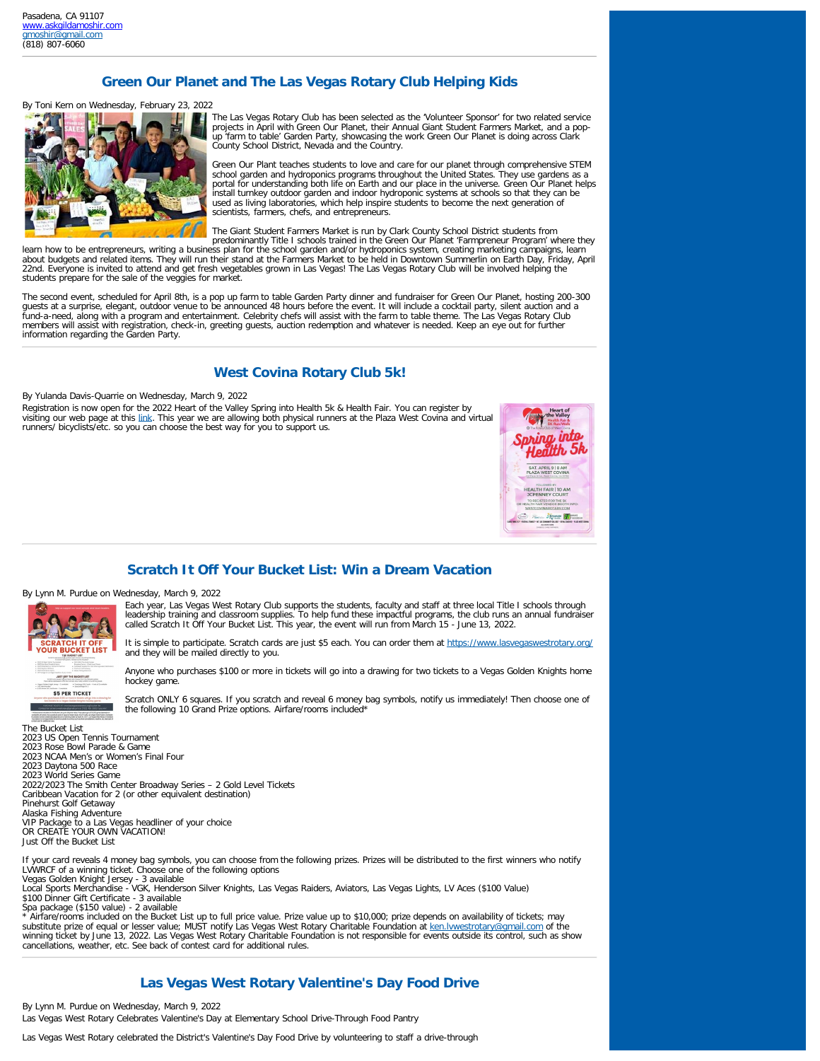# **Green Our Planet and The Las Vegas Rotary Club Helping Kids**

#### By Toni Kern on Wednesday, February 23, 2022

![](_page_4_Picture_3.jpeg)

The Las Vegas Rotary Club has been selected as the 'Volunteer Sponsor' for two related service projects in April with Green Our Planet, their Annual Giant Student Farmers Market, and a popup 'farm to table' Garden Party, showcasing the work Green Our Planet is doing across Clark County School District, Nevada and the Country.

Green Our Plant teaches students to love and care for our planet through comprehensive STEM school garden and hydroponics programs throughout the United States. They use gardens as a portal for understanding both life on Earth and our place in the universe. Green Our Planet helps install turnkey outdoor garden and indoor hydroponic systems at schools so that they can be used as living laboratories, which help inspire students to become the next generation of scientists, farmers, chefs, and entrepreneurs.

The Giant Student Farmers Market is run by Clark County School District students from predominantly Title I schools trained in the Green Our Planet 'Farmpreneur Program' where they

learn how to be entrepreneurs, writing a business plan for the school garden and/or hydroponics system, creating marketing campaigns, learn<br>about budgets and related items. They will run their stand at the Farmers Market t 22nd. Everyone is invited to attend and get fresh vegetables grown in Las Vegas! The Las Vegas Rotary Club will be involved helping the students prepare for the sale of the veggies for market.

The second event, scheduled for April 8th, is a pop up farm to table Garden Party dinner and fundraiser for Green Our Planet, hosting 200-300 guests at a surprise, elegant, outdoor venue to be announced 48 hours before the event. It will include a cocktail party, silent auction and a<br>fund-a-need, along with a program and entertainment. Celebrity chefs will assis members will assist with registration, check-in, greeting guests, auction redemption and whatever is needed. Keep an eye out for further information regarding the Garden Party.

## **West Covina Rotary Club 5k!**

By Yulanda Davis-Quarrie on Wednesday, March 9, 2022

Registration is now open for the 2022 Heart of the Valley Spring into Health 5k & Health Fair. You can register by visiting our web page at this [link](https://www.westcovinarotary.com/2022-heart-of-the-valley-health-fair-5k-run). This year we are allowing both physical runners at the Plaza West Covina and virtual runners/ bicyclists/etc. so you can choose the best way for you to support us.

![](_page_4_Picture_12.jpeg)

## **Scratch It Off Your Bucket List: Win a Dream Vacation**

By Lynn M. Purdue on Wednesday, March 9, 2022

![](_page_4_Picture_15.jpeg)

Each year, Las Vegas West Rotary Club supports the students, faculty and staff at three local Title I schools through<br>leadership training and classroom supplies. To help fund these impactful programs, the club runs an annu called Scratch It Off Your Bucket List. This year, the event will run from March 15 - June 13, 2022.

It is simple to participate. Scratch cards are just \$5 each. You can order them at <https://www.lasvegaswestrotary.org/> and they will be mailed directly to you.

Anyone who purchases \$100 or more in tickets will go into a drawing for two tickets to a Vegas Golden Knights home hockey game.

Scratch ONLY 6 squares. If you scratch and reveal 6 money bag symbols, notify us immediately! Then choose one of the following 10 Grand Prize options. Airfare/rooms included\*

The Bucket List 2023 US Open Tennis Tournament 2023 Rose Bowl Parade & Game 2023 NCAA Men's or Women's Final Four 2023 Daytona 500 Race 2023 World Series Game 2022/2023 The Smith Center Broadway Series – 2 Gold Level Tickets Caribbean Vacation for 2 (or other equivalent destination) Pinehurst Golf Getaway Alaska Fishing Adventure VIP Package to a Las Vegas headliner of your choice OR CREATE YOUR OWN VACATION! Just Off the Bucket List If your card reveals 4 money bag symbols, you can choose from the following prizes. Prizes will be distributed to the first winners who notify LVWRCF of a winning ticket. Choose one of the following options Vegas Golden Knight Jersey - 3 available Local Sports Merchandise - VGK, Henderson Silver Knights, Las Vegas Raiders, Aviators, Las Vegas Lights, LV Aces (\$100 Value)

\$100 Dinner Gift Certificate - 3 available Spa package (\$150 value) - 2 available

\* Airfare/rooms included on the Bucket List up to full price value. Prize value up to \$10,000; prize depends on availability of tickets; may<br>substitute prize of equal or lesser value; MUST notify Las Vegas West Rotary Char winning ticket by June 13, 2022. Las Vegas West Rotary Charitable Foundation is not responsible for events outside its control, such as show cancellations, weather, etc. See back of contest card for additional rules.

# **Las Vegas West Rotary Valentine's Day Food Drive**

By Lynn M. Purdue on Wednesday, March 9, 2022 Las Vegas West Rotary Celebrates Valentine's Day at Elementary School Drive-Through Food Pantry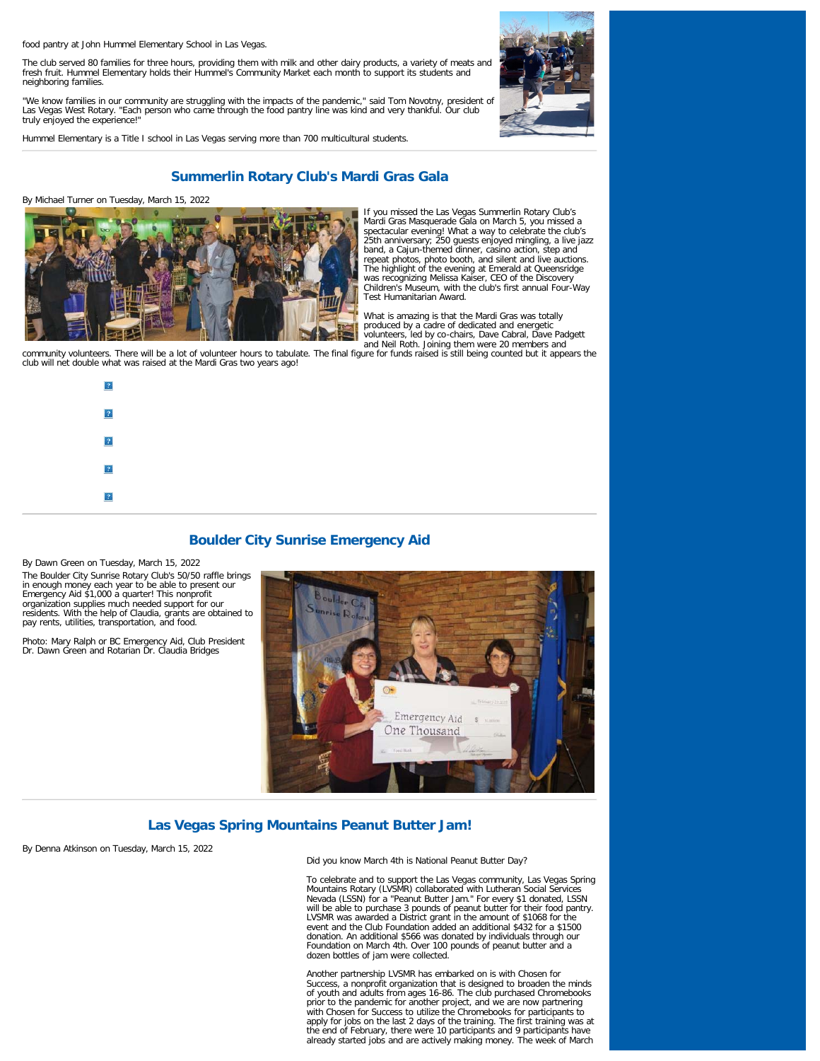food pantry at John Hummel Elementary School in Las Vegas.

The club served 80 families for three hours, providing them with milk and other dairy products, a variety of meats and fresh fruit. Hummel Elementary holds their Hummel's Community Market each month to support its students and neighboring families.

"We know families in our community are struggling with the impacts of the pandemic," said Tom Novotny, president of<br>Las Vegas West Rotary. "Each person who came through the food pantry line was kind and very thankful. Our truly enjoyed the experience!"

Hummel Elementary is a Title I school in Las Vegas serving more than 700 multicultural students.

![](_page_5_Picture_4.jpeg)

# **Summerlin Rotary Club's Mardi Gras Gala**

By Michael Turner on Tuesday, March 15, 2022

![](_page_5_Picture_7.jpeg)

If you missed the Las Vegas Summerlin Rotary Club's Mardi Gras Masquerade Gala on March 5, you missed a<br>spectacular evening! What a way to celebrate the club's<br>25th anniversary; 250 guests enjoyed mingling, a live jazz<br>band, a Cajun-themed dinner, casino action, step and<br>re The highlight of the evening at Emerald at Queensridge was recognizing Melissa Kaiser, CEO of the Discovery Children's Museum, with the club's first annual Four-Way Test Humanitarian Award.

What is amazing is that the Mardi Gras was totally produced by a cadre of dedicated and energetic

and November 2014. The state of the state of the state of the state of the state of the state of the state of the state of the state of the state of the state of the state of the state of the state of the state of the stat club will net double what was raised at the Mardi Gras two years ago!

![](_page_5_Figure_11.jpeg)

# **Boulder City Sunrise Emergency Aid**

By Dawn Green on Tuesday, March 15, 2022 The Boulder City Sunrise Rotary Club's 50/50 raffle brings in enough money each year to be able to present our Emergency Aid \$1,000 a quarter! This nonprofit organization supplies much needed support for our residents. With the help of Claudia, grants are obtained to pay rents, utilities, transportation, and food.

Photo: Mary Ralph or BC Emergency Aid, Club President Dr. Dawn Green and Rotarian Dr. Claudia Bridges

![](_page_5_Picture_15.jpeg)

![](_page_5_Picture_16.jpeg)

# **Las Vegas Spring Mountains Peanut Butter Jam!**

By Denna Atkinson on Tuesday, March 15, 2022

Did you know March 4th is National Peanut Butter Day?

To celebrate and to support the Las Vegas community, Las Vegas Spring<br>Mountains Rotary (LVSMR) collaborated with Lutheran Social Services<br>Nevada (LSSN) for a "Peanut Butter Jam." For every \$1 donated, LSSN<br>will be able to event and the Club Foundation added an additional \$432 for a \$1500 donation. An additional \$566 was donated by individuals through our Foundation on March 4th. Over 100 pounds of peanut butter and a dozen bottles of jam were collected.

Another partnership LVSMR has embarked on is with Chosen for Success, a nonprofit organization that is designed to broaden the minds of youth and adults from ages 16-86. The club purchased Chromebooks prior to the pandemic for another project, and we are now partnering with Chosen for Success to utilize the Chromebooks for participants to apply for jobs on the last 2 days of the training. The first training was at the end of February, there were 10 participants and 9 participants have already started jobs and are actively making money. The week of March